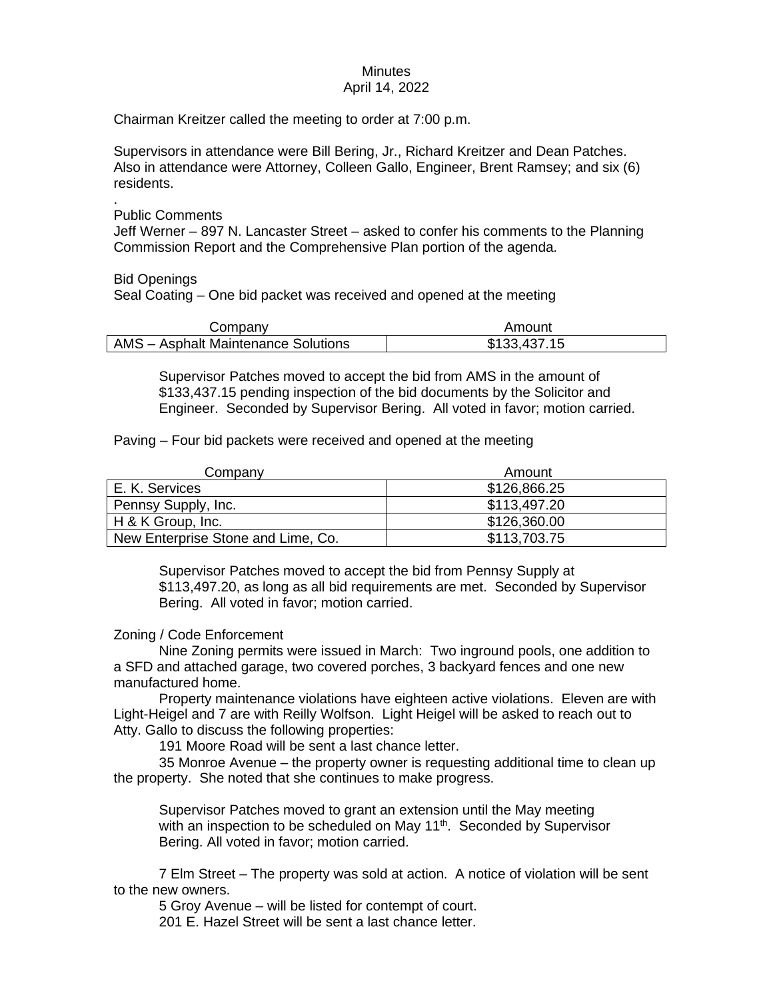# **Minutes**

### April 14, 2022

Chairman Kreitzer called the meeting to order at 7:00 p.m.

Supervisors in attendance were Bill Bering, Jr., Richard Kreitzer and Dean Patches. Also in attendance were Attorney, Colleen Gallo, Engineer, Brent Ramsey; and six (6) residents.

. Public Comments

Jeff Werner – 897 N. Lancaster Street – asked to confer his comments to the Planning Commission Report and the Comprehensive Plan portion of the agenda.

Bid Openings

Seal Coating – One bid packet was received and opened at the meeting

| Company                                    | Amount       |
|--------------------------------------------|--------------|
| <b>AMS</b> - Asphalt Maintenance Solutions | \$133,437.15 |

Supervisor Patches moved to accept the bid from AMS in the amount of \$133,437.15 pending inspection of the bid documents by the Solicitor and Engineer. Seconded by Supervisor Bering. All voted in favor; motion carried.

Paving – Four bid packets were received and opened at the meeting

| Company                            | Amount       |
|------------------------------------|--------------|
| E. K. Services                     | \$126,866.25 |
| Pennsy Supply, Inc.                | \$113,497.20 |
| H & K Group, Inc.                  | \$126,360.00 |
| New Enterprise Stone and Lime, Co. | \$113,703.75 |

Supervisor Patches moved to accept the bid from Pennsy Supply at \$113,497.20, as long as all bid requirements are met. Seconded by Supervisor Bering. All voted in favor; motion carried.

# Zoning / Code Enforcement

Nine Zoning permits were issued in March: Two inground pools, one addition to a SFD and attached garage, two covered porches, 3 backyard fences and one new manufactured home.

Property maintenance violations have eighteen active violations. Eleven are with Light-Heigel and 7 are with Reilly Wolfson. Light Heigel will be asked to reach out to Atty. Gallo to discuss the following properties:

191 Moore Road will be sent a last chance letter.

35 Monroe Avenue – the property owner is requesting additional time to clean up the property. She noted that she continues to make progress.

Supervisor Patches moved to grant an extension until the May meeting with an inspection to be scheduled on May  $11<sup>th</sup>$ . Seconded by Supervisor Bering. All voted in favor; motion carried.

7 Elm Street – The property was sold at action. A notice of violation will be sent to the new owners.

5 Groy Avenue – will be listed for contempt of court. 201 E. Hazel Street will be sent a last chance letter.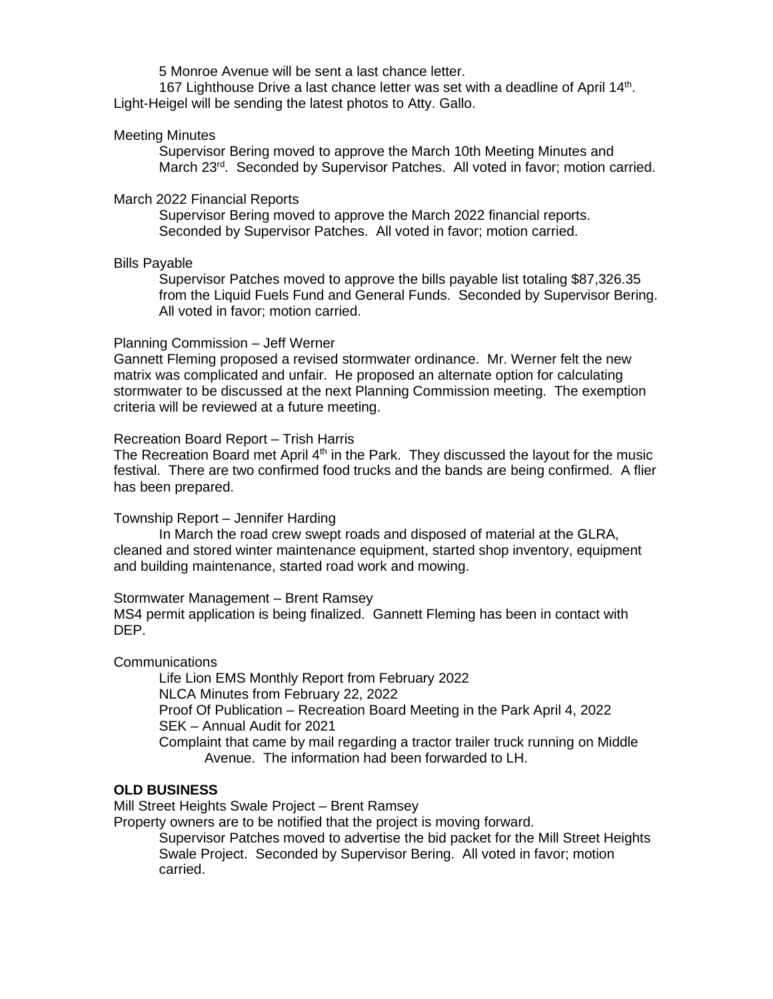5 Monroe Avenue will be sent a last chance letter.

167 Lighthouse Drive a last chance letter was set with a deadline of April 14<sup>th</sup>. Light-Heigel will be sending the latest photos to Atty. Gallo.

### Meeting Minutes

Supervisor Bering moved to approve the March 10th Meeting Minutes and March 23<sup>rd</sup>. Seconded by Supervisor Patches. All voted in favor; motion carried.

#### March 2022 Financial Reports

Supervisor Bering moved to approve the March 2022 financial reports. Seconded by Supervisor Patches. All voted in favor; motion carried.

### Bills Payable

Supervisor Patches moved to approve the bills payable list totaling \$87,326.35 from the Liquid Fuels Fund and General Funds. Seconded by Supervisor Bering. All voted in favor; motion carried.

### Planning Commission – Jeff Werner

Gannett Fleming proposed a revised stormwater ordinance. Mr. Werner felt the new matrix was complicated and unfair. He proposed an alternate option for calculating stormwater to be discussed at the next Planning Commission meeting. The exemption criteria will be reviewed at a future meeting.

### Recreation Board Report – Trish Harris

The Recreation Board met April  $4<sup>th</sup>$  in the Park. They discussed the layout for the music festival. There are two confirmed food trucks and the bands are being confirmed. A flier has been prepared.

### Township Report – Jennifer Harding

In March the road crew swept roads and disposed of material at the GLRA, cleaned and stored winter maintenance equipment, started shop inventory, equipment and building maintenance, started road work and mowing.

Stormwater Management – Brent Ramsey MS4 permit application is being finalized. Gannett Fleming has been in contact with DEP.

Communications

Life Lion EMS Monthly Report from February 2022 NLCA Minutes from February 22, 2022 Proof Of Publication – Recreation Board Meeting in the Park April 4, 2022 SEK – Annual Audit for 2021 Complaint that came by mail regarding a tractor trailer truck running on Middle Avenue. The information had been forwarded to LH.

# **OLD BUSINESS**

Mill Street Heights Swale Project – Brent Ramsey

Property owners are to be notified that the project is moving forward.

Supervisor Patches moved to advertise the bid packet for the Mill Street Heights Swale Project. Seconded by Supervisor Bering. All voted in favor; motion carried.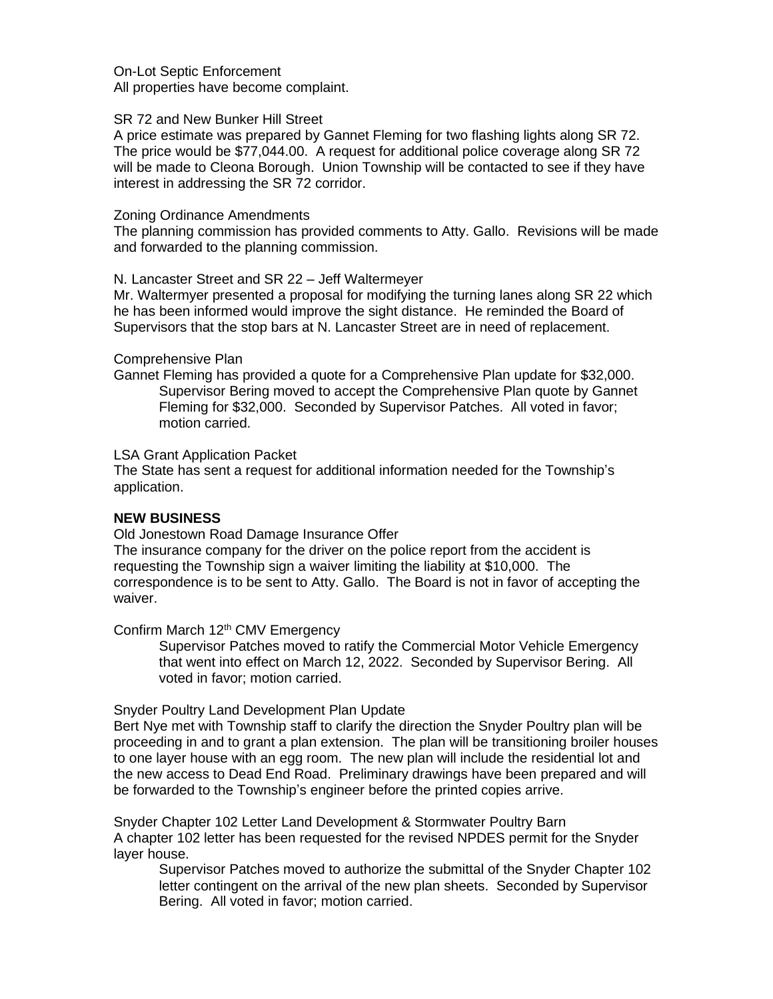On-Lot Septic Enforcement All properties have become complaint.

### SR 72 and New Bunker Hill Street

A price estimate was prepared by Gannet Fleming for two flashing lights along SR 72. The price would be \$77,044.00. A request for additional police coverage along SR 72 will be made to Cleona Borough. Union Township will be contacted to see if they have interest in addressing the SR 72 corridor.

### Zoning Ordinance Amendments

The planning commission has provided comments to Atty. Gallo. Revisions will be made and forwarded to the planning commission.

### N. Lancaster Street and SR 22 – Jeff Waltermeyer

Mr. Waltermyer presented a proposal for modifying the turning lanes along SR 22 which he has been informed would improve the sight distance. He reminded the Board of Supervisors that the stop bars at N. Lancaster Street are in need of replacement.

### Comprehensive Plan

Gannet Fleming has provided a quote for a Comprehensive Plan update for \$32,000. Supervisor Bering moved to accept the Comprehensive Plan quote by Gannet Fleming for \$32,000. Seconded by Supervisor Patches. All voted in favor; motion carried.

### LSA Grant Application Packet

The State has sent a request for additional information needed for the Township's application.

### **NEW BUSINESS**

Old Jonestown Road Damage Insurance Offer

The insurance company for the driver on the police report from the accident is requesting the Township sign a waiver limiting the liability at \$10,000. The correspondence is to be sent to Atty. Gallo. The Board is not in favor of accepting the waiver.

Confirm March 12<sup>th</sup> CMV Emergency

Supervisor Patches moved to ratify the Commercial Motor Vehicle Emergency that went into effect on March 12, 2022. Seconded by Supervisor Bering. All voted in favor; motion carried.

### Snyder Poultry Land Development Plan Update

Bert Nye met with Township staff to clarify the direction the Snyder Poultry plan will be proceeding in and to grant a plan extension. The plan will be transitioning broiler houses to one layer house with an egg room. The new plan will include the residential lot and the new access to Dead End Road. Preliminary drawings have been prepared and will be forwarded to the Township's engineer before the printed copies arrive.

Snyder Chapter 102 Letter Land Development & Stormwater Poultry Barn A chapter 102 letter has been requested for the revised NPDES permit for the Snyder layer house.

Supervisor Patches moved to authorize the submittal of the Snyder Chapter 102 letter contingent on the arrival of the new plan sheets. Seconded by Supervisor Bering. All voted in favor; motion carried.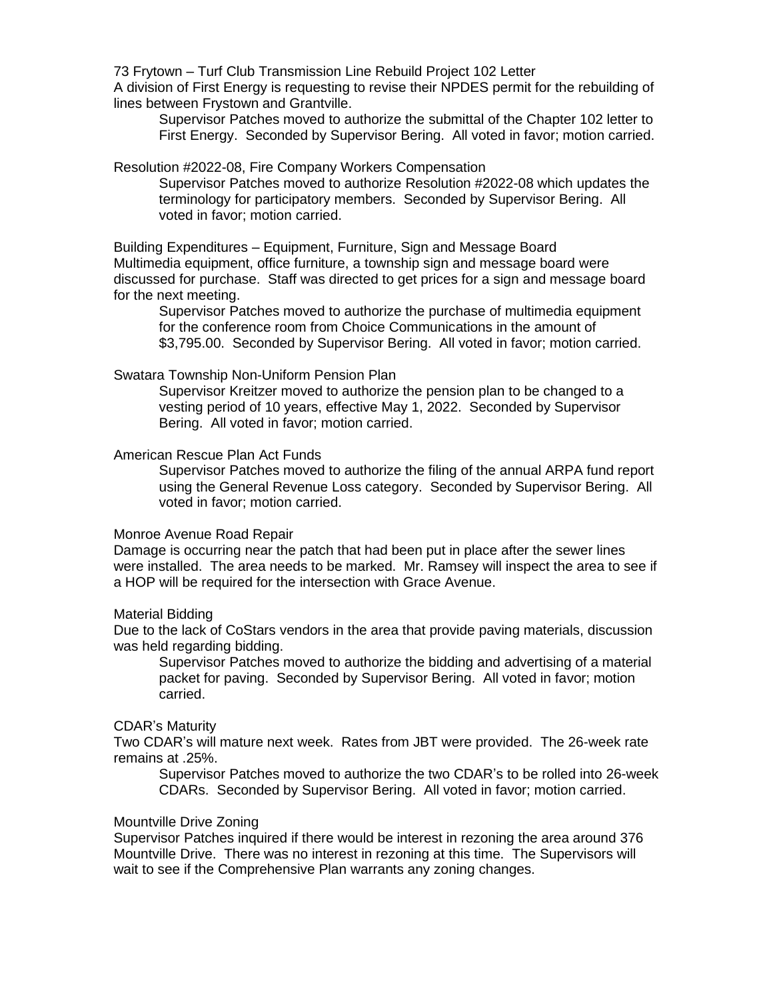73 Frytown – Turf Club Transmission Line Rebuild Project 102 Letter

A division of First Energy is requesting to revise their NPDES permit for the rebuilding of lines between Frystown and Grantville.

Supervisor Patches moved to authorize the submittal of the Chapter 102 letter to First Energy. Seconded by Supervisor Bering. All voted in favor; motion carried.

#### Resolution #2022-08, Fire Company Workers Compensation

Supervisor Patches moved to authorize Resolution #2022-08 which updates the terminology for participatory members. Seconded by Supervisor Bering. All voted in favor; motion carried.

Building Expenditures – Equipment, Furniture, Sign and Message Board Multimedia equipment, office furniture, a township sign and message board were discussed for purchase. Staff was directed to get prices for a sign and message board for the next meeting.

Supervisor Patches moved to authorize the purchase of multimedia equipment for the conference room from Choice Communications in the amount of \$3,795.00. Seconded by Supervisor Bering. All voted in favor; motion carried.

### Swatara Township Non-Uniform Pension Plan

Supervisor Kreitzer moved to authorize the pension plan to be changed to a vesting period of 10 years, effective May 1, 2022. Seconded by Supervisor Bering. All voted in favor; motion carried.

### American Rescue Plan Act Funds

Supervisor Patches moved to authorize the filing of the annual ARPA fund report using the General Revenue Loss category. Seconded by Supervisor Bering. All voted in favor; motion carried.

### Monroe Avenue Road Repair

Damage is occurring near the patch that had been put in place after the sewer lines were installed. The area needs to be marked. Mr. Ramsey will inspect the area to see if a HOP will be required for the intersection with Grace Avenue.

#### Material Bidding

Due to the lack of CoStars vendors in the area that provide paving materials, discussion was held regarding bidding.

Supervisor Patches moved to authorize the bidding and advertising of a material packet for paving. Seconded by Supervisor Bering. All voted in favor; motion carried.

### CDAR's Maturity

Two CDAR's will mature next week. Rates from JBT were provided. The 26-week rate remains at .25%.

Supervisor Patches moved to authorize the two CDAR's to be rolled into 26-week CDARs. Seconded by Supervisor Bering. All voted in favor; motion carried.

#### Mountville Drive Zoning

Supervisor Patches inquired if there would be interest in rezoning the area around 376 Mountville Drive. There was no interest in rezoning at this time. The Supervisors will wait to see if the Comprehensive Plan warrants any zoning changes.